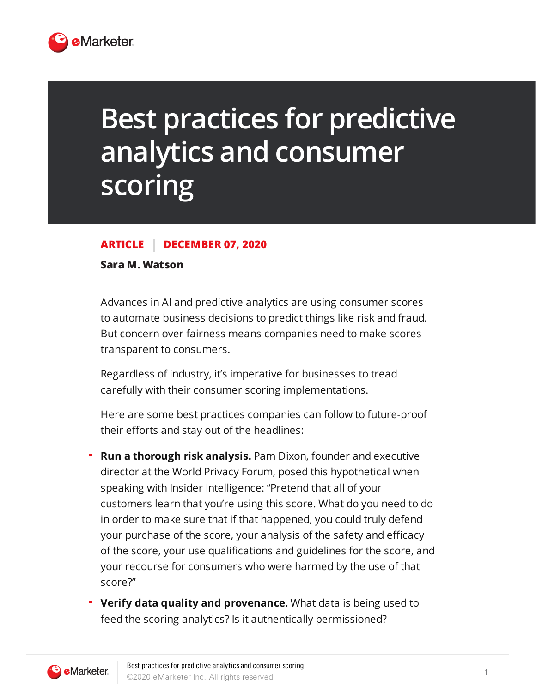

## **Best practices for predictive analytics and consumer scoring**

## **ARTICLE DECEMBER 07, 2020**

## **Sara M. Watson**

Advances in AI and predictive analytics are using consumer scores to automate business decisions to predict things like risk and fraud. But concern over fairness means companies need to make scores transparent to consumers.

Regardless of industry, it's imperative for businesses to tread carefully with their consumer scoring implementations.

Here are some best practices companies can follow to future-proof their efforts and stay out of the headlines:

- **Run a thorough risk analysis.** Pam Dixon, founder and executive director at the World Privacy Forum, posed this hypothetical when speaking with Insider Intelligence: "Pretend that all of your customers learn that you're using this score. What do you need to do in order to make sure that if that happened, you could truly defend your purchase of the score, your analysis of the safety and efficacy of the score, your use qualifications and guidelines for the score, and your recourse for consumers who were harmed by the use of that score?"
- **Verify data quality and provenance.** What data is being used to feed the scoring analytics? Is it authentically permissioned?

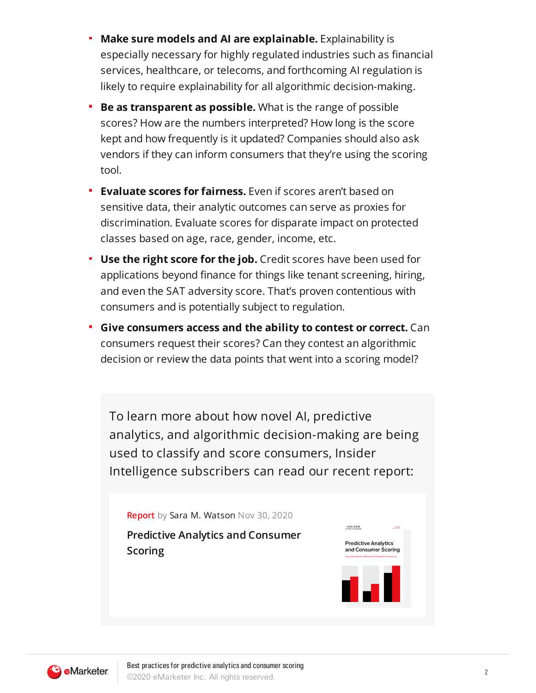- **Make sure models and AI are explainable.** Explainability is especially necessary for highly regulated industries such as financial services, healthcare, or telecoms, and forthcoming AI regulation is likely to require explainability for all algorithmic decision-making.
- **Be as transparent as possible.** What is the range of possible  $\blacksquare$ scores? How are the numbers interpreted? How long is the score kept and how frequently is it updated? Companies should also ask vendors if they can inform consumers that they're using the scoring tool.
- **Evaluate scores for fairness.** Even if scores aren't based on sensitive data, their analytic outcomes can serve as proxies for discrimination. Evaluate scores for disparate impact on protected classes based on age, race, gender, income, etc.
- **Use the right score for the job.** Credit scores have been used for applications beyond finance for things like tenant screening, hiring, and even the SAT adversity score. That's proven contentious with consumers and is potentially subject to regulation.
- **Give consumers access and the ability to contest or correct.** Can consumers request their scores? Can they contest an algorithmic decision or review the data points that went into a scoring model?

To learn more about how novel AI, predictive analytics, and algorithmic decision-making are being used to classify and score consumers, Insider Intelligence subscribers can read our recent report: